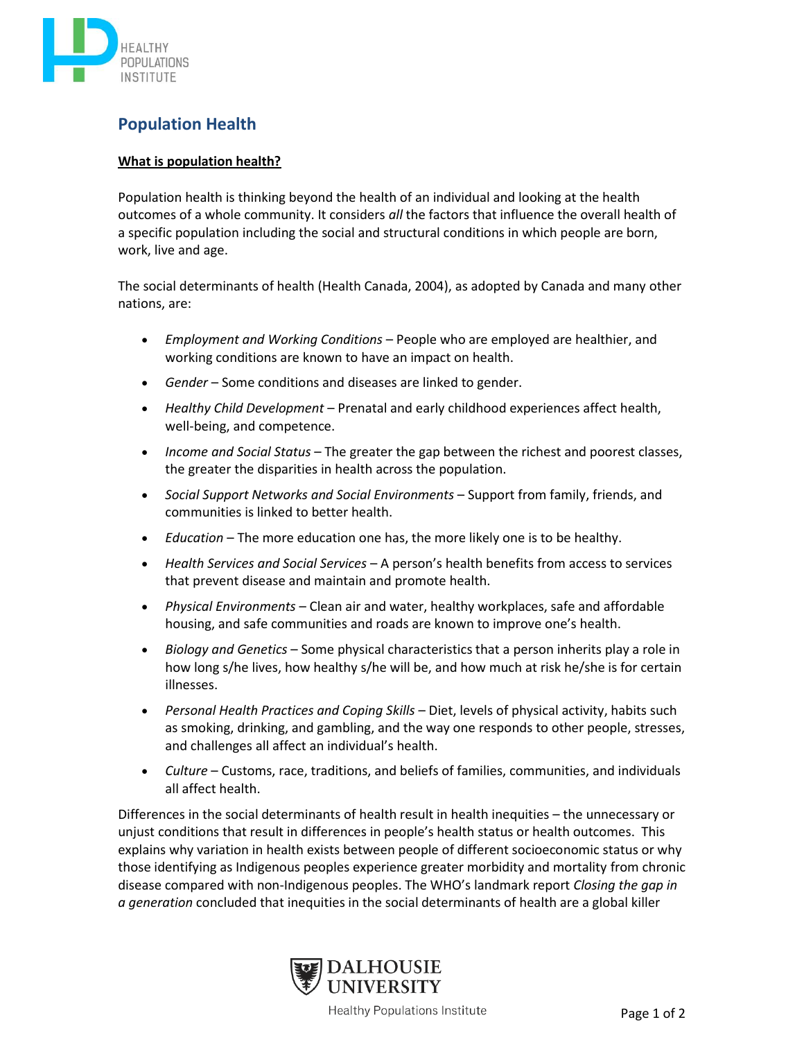

## **Population Health**

## **What is population health?**

Population health is thinking beyond the health of an individual and looking at the health outcomes of a whole community. It considers *all* the factors that influence the overall health of a specific population including the social and structural conditions in which people are born, work, live and age.

The social determinants of health (Health Canada, 2004), as adopted by Canada and many other nations, are:

- *Employment and Working Conditions* People who are employed are healthier, and working conditions are known to have an impact on health.
- *Gender* Some conditions and diseases are linked to gender.
- *Healthy Child Development* Prenatal and early childhood experiences affect health, well-being, and competence.
- *Income and Social Status* The greater the gap between the richest and poorest classes, the greater the disparities in health across the population.
- *Social Support Networks and Social Environments* Support from family, friends, and communities is linked to better health.
- *Education* The more education one has, the more likely one is to be healthy.
- *Health Services and Social Services* A person's health benefits from access to services that prevent disease and maintain and promote health.
- *Physical Environments* Clean air and water, healthy workplaces, safe and affordable housing, and safe communities and roads are known to improve one's health.
- *Biology and Genetics* Some physical characteristics that a person inherits play a role in how long s/he lives, how healthy s/he will be, and how much at risk he/she is for certain illnesses.
- *Personal Health Practices and Coping Skills* Diet, levels of physical activity, habits such as smoking, drinking, and gambling, and the way one responds to other people, stresses, and challenges all affect an individual's health.
- *Culture* Customs, race, traditions, and beliefs of families, communities, and individuals all affect health.

Differences in the social determinants of health result in health inequities – the unnecessary or unjust conditions that result in differences in people's health status or health outcomes. This explains why variation in health exists between people of different socioeconomic status or why those identifying as Indigenous peoples experience greater morbidity and mortality from chronic disease compared with non-Indigenous peoples. The WHO's landmark report *Closing the gap in a generation* concluded that inequities in the social determinants of health are a global killer